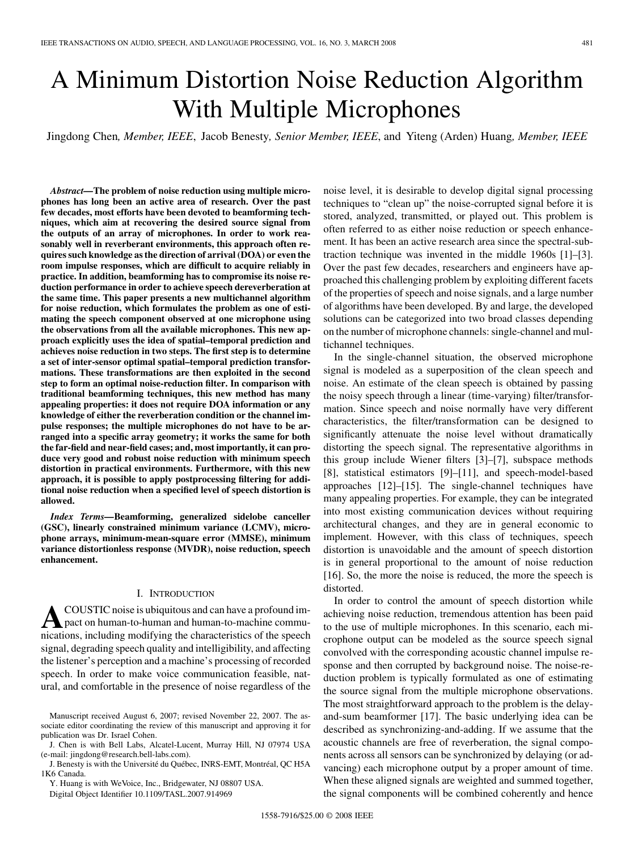# A Minimum Distortion Noise Reduction Algorithm With Multiple Microphones

Jingdong Chen*, Member, IEEE*, Jacob Benesty*, Senior Member, IEEE*, and Yiteng (Arden) Huang*, Member, IEEE*

*Abstract—***The problem of noise reduction using multiple microphones has long been an active area of research. Over the past few decades, most efforts have been devoted to beamforming techniques, which aim at recovering the desired source signal from the outputs of an array of microphones. In order to work reasonably well in reverberant environments, this approach often requires such knowledge as the direction of arrival (DOA) or even the room impulse responses, which are difficult to acquire reliably in practice. In addition, beamforming has to compromise its noise reduction performance in order to achieve speech dereverberation at the same time. This paper presents a new multichannel algorithm for noise reduction, which formulates the problem as one of estimating the speech component observed at one microphone using the observations from all the available microphones. This new approach explicitly uses the idea of spatial–temporal prediction and achieves noise reduction in two steps. The first step is to determine a set of inter-sensor optimal spatial–temporal prediction transformations. These transformations are then exploited in the second step to form an optimal noise-reduction filter. In comparison with traditional beamforming techniques, this new method has many appealing properties: it does not require DOA information or any knowledge of either the reverberation condition or the channel impulse responses; the multiple microphones do not have to be arranged into a specific array geometry; it works the same for both the far-field and near-field cases; and, most importantly, it can produce very good and robust noise reduction with minimum speech distortion in practical environments. Furthermore, with this new approach, it is possible to apply postprocessing filtering for additional noise reduction when a specified level of speech distortion is allowed.**

*Index Terms—***Beamforming, generalized sidelobe canceller (GSC), linearly constrained minimum variance (LCMV), microphone arrays, minimum-mean-square error (MMSE), minimum variance distortionless response (MVDR), noise reduction, speech enhancement.**

# I. INTRODUCTION

**A**COUSTIC noise is ubiquitous and can have a profound impact on human-to-human and human-to-machine communications, including modifying the characteristics of the speech signal, degrading speech quality and intelligibility, and affecting the listener's perception and a machine's processing of recorded speech. In order to make voice communication feasible, natural, and comfortable in the presence of noise regardless of the

Digital Object Identifier 10.1109/TASL.2007.914969

noise level, it is desirable to develop digital signal processing techniques to "clean up" the noise-corrupted signal before it is stored, analyzed, transmitted, or played out. This problem is often referred to as either noise reduction or speech enhancement. It has been an active research area since the spectral-subtraction technique was invented in the middle 1960s [1]–[3]. Over the past few decades, researchers and engineers have approached this challenging problem by exploiting different facets of the properties of speech and noise signals, and a large number of algorithms have been developed. By and large, the developed solutions can be categorized into two broad classes depending on the number of microphone channels: single-channel and multichannel techniques.

In the single-channel situation, the observed microphone signal is modeled as a superposition of the clean speech and noise. An estimate of the clean speech is obtained by passing the noisy speech through a linear (time-varying) filter/transformation. Since speech and noise normally have very different characteristics, the filter/transformation can be designed to significantly attenuate the noise level without dramatically distorting the speech signal. The representative algorithms in this group include Wiener filters [3]–[7], subspace methods [8], statistical estimators [9]–[11], and speech-model-based approaches [12]–[15]. The single-channel techniques have many appealing properties. For example, they can be integrated into most existing communication devices without requiring architectural changes, and they are in general economic to implement. However, with this class of techniques, speech distortion is unavoidable and the amount of speech distortion is in general proportional to the amount of noise reduction [16]. So, the more the noise is reduced, the more the speech is distorted.

In order to control the amount of speech distortion while achieving noise reduction, tremendous attention has been paid to the use of multiple microphones. In this scenario, each microphone output can be modeled as the source speech signal convolved with the corresponding acoustic channel impulse response and then corrupted by background noise. The noise-reduction problem is typically formulated as one of estimating the source signal from the multiple microphone observations. The most straightforward approach to the problem is the delayand-sum beamformer [17]. The basic underlying idea can be described as synchronizing-and-adding. If we assume that the acoustic channels are free of reverberation, the signal components across all sensors can be synchronized by delaying (or advancing) each microphone output by a proper amount of time. When these aligned signals are weighted and summed together, the signal components will be combined coherently and hence

Manuscript received August 6, 2007; revised November 22, 2007. The associate editor coordinating the review of this manuscript and approving it for publication was Dr. Israel Cohen.

J. Chen is with Bell Labs, Alcatel-Lucent, Murray Hill, NJ 07974 USA (e-mail: jingdong@research.bell-labs.com).

J. Benesty is with the Université du Québec, INRS-EMT, Montréal, QC H5A 1K6 Canada.

Y. Huang is with WeVoice, Inc., Bridgewater, NJ 08807 USA.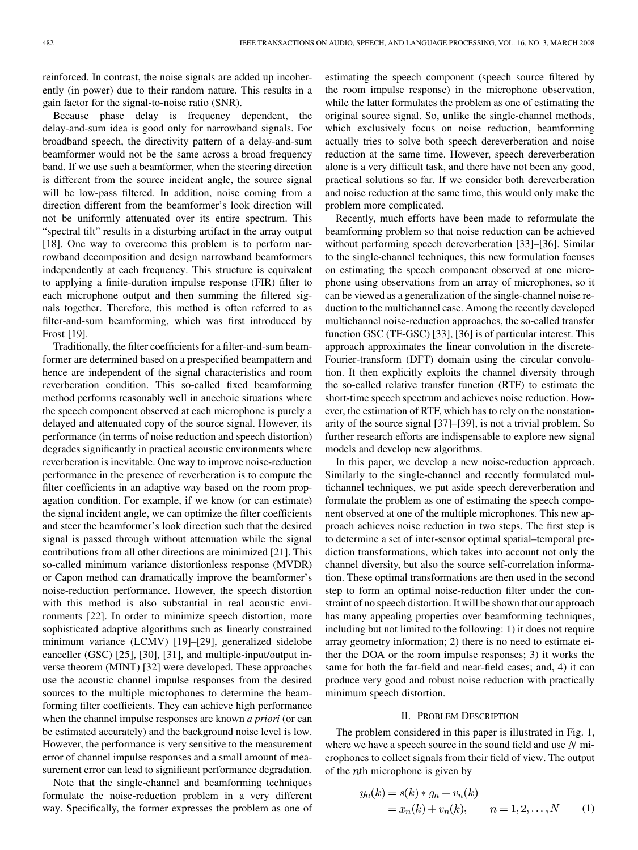reinforced. In contrast, the noise signals are added up incoherently (in power) due to their random nature. This results in a gain factor for the signal-to-noise ratio (SNR).

Because phase delay is frequency dependent, the delay-and-sum idea is good only for narrowband signals. For broadband speech, the directivity pattern of a delay-and-sum beamformer would not be the same across a broad frequency band. If we use such a beamformer, when the steering direction is different from the source incident angle, the source signal will be low-pass filtered. In addition, noise coming from a direction different from the beamformer's look direction will not be uniformly attenuated over its entire spectrum. This "spectral tilt" results in a disturbing artifact in the array output [18]. One way to overcome this problem is to perform narrowband decomposition and design narrowband beamformers independently at each frequency. This structure is equivalent to applying a finite-duration impulse response (FIR) filter to each microphone output and then summing the filtered signals together. Therefore, this method is often referred to as filter-and-sum beamforming, which was first introduced by Frost [19].

Traditionally, the filter coefficients for a filter-and-sum beamformer are determined based on a prespecified beampattern and hence are independent of the signal characteristics and room reverberation condition. This so-called fixed beamforming method performs reasonably well in anechoic situations where the speech component observed at each microphone is purely a delayed and attenuated copy of the source signal. However, its performance (in terms of noise reduction and speech distortion) degrades significantly in practical acoustic environments where reverberation is inevitable. One way to improve noise-reduction performance in the presence of reverberation is to compute the filter coefficients in an adaptive way based on the room propagation condition. For example, if we know (or can estimate) the signal incident angle, we can optimize the filter coefficients and steer the beamformer's look direction such that the desired signal is passed through without attenuation while the signal contributions from all other directions are minimized [21]. This so-called minimum variance distortionless response (MVDR) or Capon method can dramatically improve the beamformer's noise-reduction performance. However, the speech distortion with this method is also substantial in real acoustic environments [22]. In order to minimize speech distortion, more sophisticated adaptive algorithms such as linearly constrained minimum variance (LCMV) [19]–[29], generalized sidelobe canceller (GSC) [25], [30], [31], and multiple-input/output inverse theorem (MINT) [32] were developed. These approaches use the acoustic channel impulse responses from the desired sources to the multiple microphones to determine the beamforming filter coefficients. They can achieve high performance when the channel impulse responses are known *a priori* (or can be estimated accurately) and the background noise level is low. However, the performance is very sensitive to the measurement error of channel impulse responses and a small amount of measurement error can lead to significant performance degradation.

Note that the single-channel and beamforming techniques formulate the noise-reduction problem in a very different way. Specifically, the former expresses the problem as one of estimating the speech component (speech source filtered by the room impulse response) in the microphone observation, while the latter formulates the problem as one of estimating the original source signal. So, unlike the single-channel methods, which exclusively focus on noise reduction, beamforming actually tries to solve both speech dereverberation and noise reduction at the same time. However, speech dereverberation alone is a very difficult task, and there have not been any good, practical solutions so far. If we consider both dereverberation and noise reduction at the same time, this would only make the problem more complicated.

Recently, much efforts have been made to reformulate the beamforming problem so that noise reduction can be achieved without performing speech dereverberation [33]–[36]. Similar to the single-channel techniques, this new formulation focuses on estimating the speech component observed at one microphone using observations from an array of microphones, so it can be viewed as a generalization of the single-channel noise reduction to the multichannel case. Among the recently developed multichannel noise-reduction approaches, the so-called transfer function GSC (TF-GSC) [33], [36] is of particular interest. This approach approximates the linear convolution in the discrete-Fourier-transform (DFT) domain using the circular convolution. It then explicitly exploits the channel diversity through the so-called relative transfer function (RTF) to estimate the short-time speech spectrum and achieves noise reduction. However, the estimation of RTF, which has to rely on the nonstationarity of the source signal [37]–[39], is not a trivial problem. So further research efforts are indispensable to explore new signal models and develop new algorithms.

In this paper, we develop a new noise-reduction approach. Similarly to the single-channel and recently formulated multichannel techniques, we put aside speech dereverberation and formulate the problem as one of estimating the speech component observed at one of the multiple microphones. This new approach achieves noise reduction in two steps. The first step is to determine a set of inter-sensor optimal spatial–temporal prediction transformations, which takes into account not only the channel diversity, but also the source self-correlation information. These optimal transformations are then used in the second step to form an optimal noise-reduction filter under the constraint of no speech distortion. It will be shown that our approach has many appealing properties over beamforming techniques, including but not limited to the following: 1) it does not require array geometry information; 2) there is no need to estimate either the DOA or the room impulse responses; 3) it works the same for both the far-field and near-field cases; and, 4) it can produce very good and robust noise reduction with practically minimum speech distortion.

#### II. PROBLEM DESCRIPTION

The problem considered in this paper is illustrated in Fig. 1, where we have a speech source in the sound field and use  $N$  microphones to collect signals from their field of view. The output of the *th microphone is given by* 

 $\lambda$ 

$$
y_n(k) = s(k) * g_n + v_n(k)
$$
  
=  $x_n(k) + v_n(k)$ ,  $n = 1, 2, ..., N$  (1)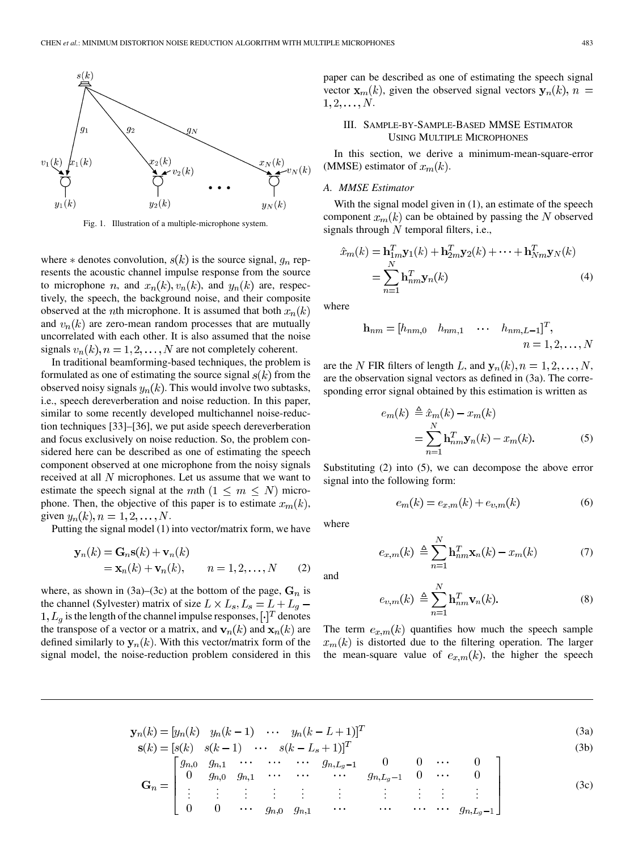

Fig. 1. Illustration of a multiple-microphone system.

where  $*$  denotes convolution,  $s(k)$  is the source signal,  $g_n$  represents the acoustic channel impulse response from the source to microphone *n*, and  $x_n(k), v_n(k)$ , and  $y_n(k)$  are, respectively, the speech, the background noise, and their composite observed at the *n*th microphone. It is assumed that both  $x_n(k)$ and  $v_n(k)$  are zero-mean random processes that are mutually uncorrelated with each other. It is also assumed that the noise signals  $v_n(k)$ ,  $n = 1, 2, ..., N$  are not completely coherent.

In traditional beamforming-based techniques, the problem is formulated as one of estimating the source signal  $s(k)$  from the observed noisy signals  $y_n(k)$ . This would involve two subtasks, i.e., speech dereverberation and noise reduction. In this paper, similar to some recently developed multichannel noise-reduction techniques [33]–[36], we put aside speech dereverberation and focus exclusively on noise reduction. So, the problem considered here can be described as one of estimating the speech component observed at one microphone from the noisy signals received at all  $N$  microphones. Let us assume that we want to estimate the speech signal at the mth  $(1 \leq m \leq N)$  microphone. Then, the objective of this paper is to estimate  $x_m(k)$ , given  $y_n(k)$ ,  $n = 1, 2, ..., N$ .

Putting the signal model (1) into vector/matrix form, we have

$$
\mathbf{y}_n(k) = \mathbf{G}_n \mathbf{s}(k) + \mathbf{v}_n(k)
$$
  
=  $\mathbf{x}_n(k) + \mathbf{v}_n(k)$ ,  $n = 1, 2, ..., N$  (2)

where, as shown in (3a)–(3c) at the bottom of the page,  $G_n$  is the channel (Sylvester) matrix of size  $L \times L_s$ ,  $L_s = L + L_g$  $1, L_q$  is the length of the channel impulse responses,  $[\cdot]^T$  denotes the transpose of a vector or a matrix, and  $v_n(k)$  and  $x_n(k)$  are defined similarly to  $y_n(k)$ . With this vector/matrix form of the signal model, the noise-reduction problem considered in this

paper can be described as one of estimating the speech signal vector  $\mathbf{x}_m(k)$ , given the observed signal vectors  $\mathbf{y}_n(k)$ ,  $n =$  $1, 2, \ldots, N$ .

# III. SAMPLE-BY-SAMPLE-BASED MMSE ESTIMATOR USING MULTIPLE MICROPHONES

In this section, we derive a minimum-mean-square-error (MMSE) estimator of  $x_m(k)$ .

# *A. MMSE Estimator*

 $e$ 

With the signal model given in  $(1)$ , an estimate of the speech component  $x_m(k)$  can be obtained by passing the N observed signals through  $N$  temporal filters, i.e.,

$$
\hat{x}_m(k) = \mathbf{h}_{1m}^T \mathbf{y}_1(k) + \mathbf{h}_{2m}^T \mathbf{y}_2(k) + \dots + \mathbf{h}_{Nm}^T \mathbf{y}_N(k)
$$

$$
= \sum_{n=1}^N \mathbf{h}_{nm}^T \mathbf{y}_n(k)
$$
(4)

where

$$
\mathbf{h}_{nm} = [h_{nm,0} \quad h_{nm,1} \quad \cdots \quad h_{nm,L-1}]^T,
$$
  

$$
n = 1, 2, \dots, N
$$

are the N FIR filters of length L, and  $y_n(k)$ ,  $n = 1, 2, ..., N$ , are the observation signal vectors as defined in (3a). The corresponding error signal obtained by this estimation is written as

$$
m(k) \triangleq \hat{x}_m(k) - x_m(k)
$$
  
= 
$$
\sum_{n=1}^{N} \mathbf{h}_{nm}^T \mathbf{y}_n(k) - x_m(k).
$$
 (5)

Substituting (2) into (5), we can decompose the above error signal into the following form:

$$
e_m(k) = e_{x,m}(k) + e_{v,m}(k)
$$
 (6)

where

$$
e_{x,m}(k) \triangleq \sum_{n=1}^{N} \mathbf{h}_{nm}^T \mathbf{x}_n(k) - x_m(k)
$$
 (7)

and

$$
e_{v,m}(k) \triangleq \sum_{n=1}^{N} \mathbf{h}_{nm}^T \mathbf{v}_n(k).
$$
 (8)

The term  $e_{x,m}(k)$  quantifies how much the speech sample  $x_m(k)$  is distorted due to the filtering operation. The larger the mean-square value of  $e_{x,m}(k)$ , the higher the speech

$$
\mathbf{y}_n(k) = [y_n(k) \quad y_n(k-1) \quad \cdots \quad y_n(k-L+1)]^T
$$
 (3a)

$$
\mathbf{s}(k) = [s(k) \quad s(k-1) \quad \cdots \quad s(k-L_s+1)]^T
$$
\n
$$
\begin{bmatrix} g_{n,0} & g_{n,1} & \cdots & \cdots & g_{n,L_s-1} & 0 & 0 & \cdots & 0 \end{bmatrix}
$$
\n(3b)

$$
\mathbf{G}_n = \begin{bmatrix} 0 & g_{n,0} & g_{n,1} & \cdots & \cdots & g_{n,L_g-1} & 0 & \cdots & 0 \\ \vdots & \vdots & \vdots & \vdots & \vdots & \vdots & \vdots & \vdots & \vdots \\ 0 & 0 & \cdots & g_{n,0} & g_{n,1} & \cdots & \cdots & \cdots & g_{n,L_g-1} \end{bmatrix}
$$
(3c)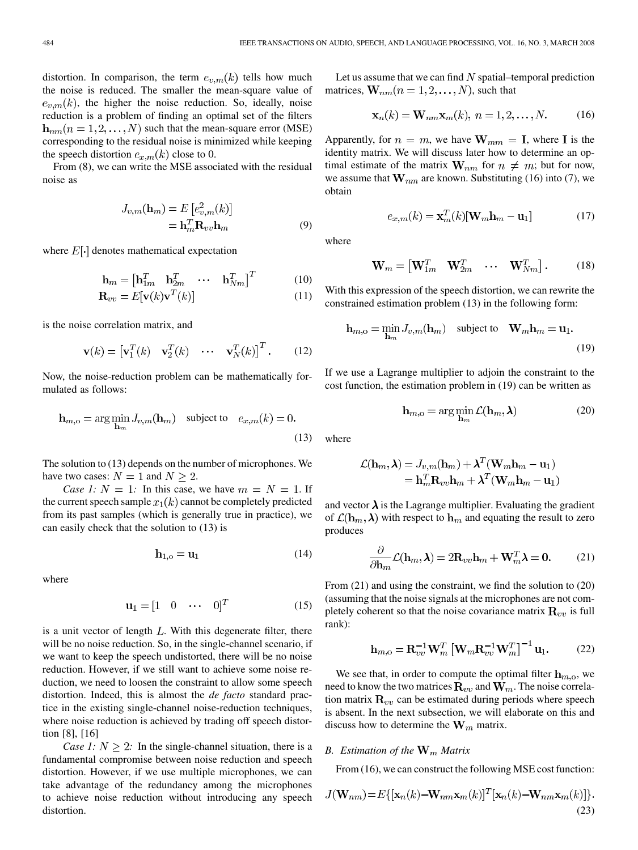distortion. In comparison, the term  $e_{v,m}(k)$  tells how much the noise is reduced. The smaller the mean-square value of  $e_{v,m}(k)$ , the higher the noise reduction. So, ideally, noise reduction is a problem of finding an optimal set of the filters  $\mathbf{h}_{nm}(n=1,2,\ldots,N)$  such that the mean-square error (MSE) corresponding to the residual noise is minimized while keeping the speech distortion  $e_{x,m}(k)$  close to 0.

From (8), we can write the MSE associated with the residual noise as

$$
J_{v,m}(\mathbf{h}_m) = E\left[e_{v,m}^2(k)\right]
$$

$$
= \mathbf{h}_m^T \mathbf{R}_{vv} \mathbf{h}_m
$$
(9)

where  $E[\cdot]$  denotes mathematical expectation

$$
\mathbf{h}_{m} = \begin{bmatrix} \mathbf{h}_{1m}^{T} & \mathbf{h}_{2m}^{T} & \cdots & \mathbf{h}_{Nm}^{T} \end{bmatrix}^{T}
$$
\n(10)\n  
\n
$$
\mathbf{R}_{vv} = E[\mathbf{v}(k)\mathbf{v}^{T}(k)]
$$
\n(11)

is the noise correlation matrix, and

$$
\mathbf{v}(k) = \begin{bmatrix} \mathbf{v}_1^T(k) & \mathbf{v}_2^T(k) & \cdots & \mathbf{v}_N^T(k) \end{bmatrix}^T.
$$
 (12)

Now, the noise-reduction problem can be mathematically formulated as follows:

$$
\mathbf{h}_{m,o} = \arg\min_{\mathbf{h}_m} J_{v,m}(\mathbf{h}_m) \quad \text{subject to} \quad e_{x,m}(k) = 0.
$$
\n(13)

The solution to (13) depends on the number of microphones. We have two cases:  $N = 1$  and  $N \ge 2$ .

*Case 1:*  $N = 1$ : In this case, we have  $m = N = 1$ . If the current speech sample  $x_1(k)$  cannot be completely predicted from its past samples (which is generally true in practice), we can easily check that the solution to (13) is

$$
\mathbf{h}_{1,o} = \mathbf{u}_1 \tag{14}
$$

where

$$
\mathbf{u}_1 = \begin{bmatrix} 1 & 0 & \cdots & 0 \end{bmatrix}^T \tag{15}
$$

is a unit vector of length  $L$ . With this degenerate filter, there will be no noise reduction. So, in the single-channel scenario, if we want to keep the speech undistorted, there will be no noise reduction. However, if we still want to achieve some noise reduction, we need to loosen the constraint to allow some speech distortion. Indeed, this is almost the *de facto* standard practice in the existing single-channel noise-reduction techniques, where noise reduction is achieved by trading off speech distortion [8], [16]

*Case 1:*  $N \geq 2$ : In the single-channel situation, there is a fundamental compromise between noise reduction and speech distortion. However, if we use multiple microphones, we can take advantage of the redundancy among the microphones to achieve noise reduction without introducing any speech distortion.

Let us assume that we can find  $N$  spatial–temporal prediction matrices,  $\mathbf{W}_{nm}(n = 1, 2, ..., N)$ , such that

$$
\mathbf{x}_n(k) = \mathbf{W}_{nm} \mathbf{x}_m(k), \ n = 1, 2, \dots, N. \tag{16}
$$

Apparently, for  $n = m$ , we have  $\mathbf{W}_{mm} = \mathbf{I}$ , where **I** is the identity matrix. We will discuss later how to determine an optimal estimate of the matrix  $\mathbf{W}_{nm}$  for  $n \neq m$ ; but for now, we assume that  $\mathbf{W}_{nm}$  are known. Substituting (16) into (7), we obtain

$$
e_{x,m}(k) = \mathbf{x}_m^T(k)[\mathbf{W}_m \mathbf{h}_m - \mathbf{u}_1] \tag{17}
$$

where

$$
\mathbf{W}_m = \begin{bmatrix} \mathbf{W}_{1m}^T & \mathbf{W}_{2m}^T & \cdots & \mathbf{W}_{Nm}^T \end{bmatrix} . \tag{18}
$$

With this expression of the speech distortion, we can rewrite the constrained estimation problem (13) in the following form:

$$
\mathbf{h}_{m,o} = \min_{\mathbf{h}_m} J_{v,m}(\mathbf{h}_m) \quad \text{subject to} \quad \mathbf{W}_m \mathbf{h}_m = \mathbf{u}_1. \tag{19}
$$

If we use a Lagrange multiplier to adjoin the constraint to the cost function, the estimation problem in (19) can be written as

$$
\mathbf{h}_{m,o} = \arg\min_{\mathbf{h}_m} \mathcal{L}(\mathbf{h}_m, \lambda) \tag{20}
$$

where

$$
\mathcal{L}(\mathbf{h}_m, \lambda) = J_{v,m}(\mathbf{h}_m) + \lambda^T (\mathbf{W}_m \mathbf{h}_m - \mathbf{u}_1)
$$
  
=  $\mathbf{h}_m^T \mathbf{R}_{vv} \mathbf{h}_m + \lambda^T (\mathbf{W}_m \mathbf{h}_m - \mathbf{u}_1)$ 

and vector  $\lambda$  is the Lagrange multiplier. Evaluating the gradient of  $\mathcal{L}(\mathbf{h}_m, \lambda)$  with respect to  $\mathbf{h}_m$  and equating the result to zero produces

$$
\frac{\partial}{\partial \mathbf{h}_m} \mathcal{L}(\mathbf{h}_m, \boldsymbol{\lambda}) = 2\mathbf{R}_{vv}\mathbf{h}_m + \mathbf{W}_m^T \boldsymbol{\lambda} = \mathbf{0}.
$$
 (21)

From (21) and using the constraint, we find the solution to (20) (assuming that the noise signals at the microphones are not completely coherent so that the noise covariance matrix  $\mathbf{R}_{vv}$  is full rank):

$$
\mathbf{h}_{m,o} = \mathbf{R}_{vv}^{-1} \mathbf{W}_m^T \left[ \mathbf{W}_m \mathbf{R}_{vv}^{-1} \mathbf{W}_m^T \right]^{-1} \mathbf{u}_1. \tag{22}
$$

We see that, in order to compute the optimal filter  $h_{m,o}$ , we need to know the two matrices  $\mathbf{R}_{vv}$  and  $\mathbf{W}_m$ . The noise correlation matrix  $\mathbf{R}_{vv}$  can be estimated during periods where speech is absent. In the next subsection, we will elaborate on this and discuss how to determine the  $\mathbf{W}_m$  matrix.

## *B. Estimation of the Matrix*

From  $(16)$ , we can construct the following MSE cost function:

$$
J(\mathbf{W}_{nm}) = E\{[\mathbf{x}_n(k) - \mathbf{W}_{nm}\mathbf{x}_m(k)]^T[\mathbf{x}_n(k) - \mathbf{W}_{nm}\mathbf{x}_m(k)]\}.
$$
\n(23)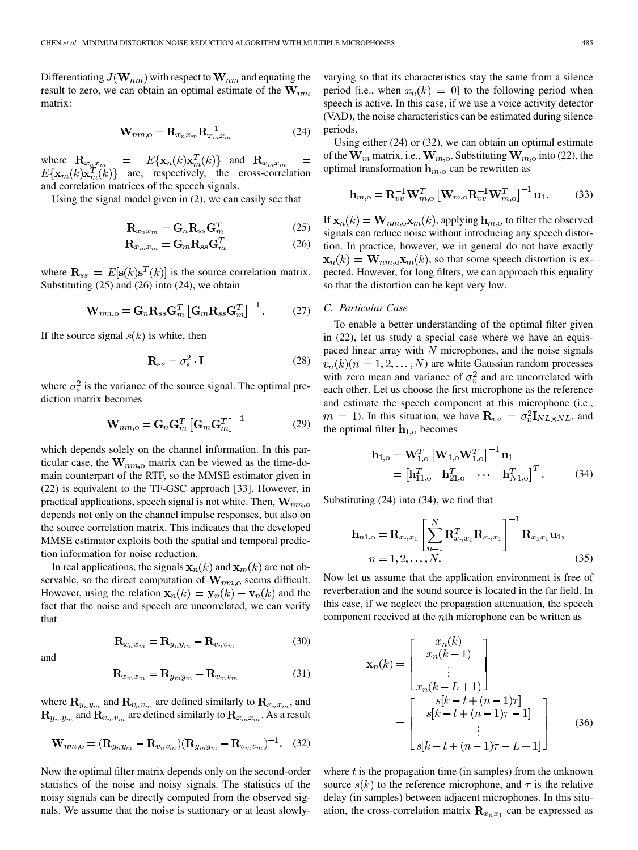Differentiating  $J(\mathbf{W}_{nm})$  with respect to  $\mathbf{W}_{nm}$  and equating the result to zero, we can obtain an optimal estimate of the  $W_{nm}$ matrix:

$$
\mathbf{W}_{nm,o} = \mathbf{R}_{x_n x_m} \mathbf{R}_{x_m x_m}^{-1} \tag{24}
$$

where  $\mathbf{R}_{x_n x_m}$  =  $E\{\mathbf{x}_n(k)\mathbf{x}_m^T(k)\}\$ and  $\mathbf{R}_{x_m x_m}$  $E\{\mathbf{x}_m(k)\mathbf{x}_m^T(k)\}\$  are, respectively, the cross-correlation and correlation matrices of the speech signals.

Using the signal model given in (2), we can easily see that

$$
\mathbf{R}_{x_n x_m} = \mathbf{G}_n \mathbf{R}_{ss} \mathbf{G}_m^T \tag{25}
$$

$$
\mathbf{R}_{x_m x_m} = \mathbf{G}_m \mathbf{R}_{ss} \mathbf{G}_m^T \tag{26}
$$

where  $\mathbf{R}_{ss} = E[\mathbf{s}(k)\mathbf{s}^T(k)]$  is the source correlation matrix. Substituting (25) and (26) into (24), we obtain

$$
\mathbf{W}_{nm,o} = \mathbf{G}_n \mathbf{R}_{ss} \mathbf{G}_m^T \left[ \mathbf{G}_m \mathbf{R}_{ss} \mathbf{G}_m^T \right]^{-1} . \tag{27}
$$

If the source signal  $s(k)$  is white, then

$$
\mathbf{R}_{ss} = \sigma_s^2 \cdot \mathbf{I} \tag{28}
$$

where  $\sigma_s^2$  is the variance of the source signal. The optimal prediction matrix becomes

$$
\mathbf{W}_{nm,o} = \mathbf{G}_n \mathbf{G}_m^T \left[ \mathbf{G}_m \mathbf{G}_m^T \right]^{-1} \tag{29}
$$

which depends solely on the channel information. In this particular case, the  $W_{nm,o}$  matrix can be viewed as the time-domain counterpart of the RTF, so the MMSE estimator given in (22) is equivalent to the TF-GSC approach [33]. However, in practical applications, speech signal is not white. Then,  $\mathbf{W}_{nm,o}$ depends not only on the channel impulse responses, but also on the source correlation matrix. This indicates that the developed MMSE estimator exploits both the spatial and temporal prediction information for noise reduction.

In real applications, the signals  $x_n(k)$  and  $x_m(k)$  are not observable, so the direct computation of  $W_{nm,o}$  seems difficult. However, using the relation  $\mathbf{x}_n(k) = \mathbf{y}_n(k) - \mathbf{v}_n(k)$  and the fact that the noise and speech are uncorrelated, we can verify that

and

$$
\mathbf{R}_{x_n x_m} = \mathbf{R}_{y_n y_m} - \mathbf{R}_{v_n v_m} \tag{30}
$$

$$
\mathbf{R}_{x_m x_m} = \mathbf{R}_{y_m y_m} - \mathbf{R}_{v_m v_m} \tag{31}
$$

where  $\mathbf{R}_{y_n y_m}$  and  $\mathbf{R}_{v_n v_m}$  are defined similarly to  $\mathbf{R}_{x_n x_m},$  and  ${\bf R}_{y_my_m}$  and  ${\bf R}_{v_m v_m}$  are defined similarly to  ${\bf R}_{x_mx_m}$ . As a result

$$
\mathbf{W}_{nm,o} = (\mathbf{R}_{y_n y_m} - \mathbf{R}_{v_n v_m})(\mathbf{R}_{y_m y_m} - \mathbf{R}_{v_m v_m})^{-1}.
$$
 (32)

Now the optimal filter matrix depends only on the second-order statistics of the noise and noisy signals. The statistics of the noisy signals can be directly computed from the observed signals. We assume that the noise is stationary or at least slowlyvarying so that its characteristics stay the same from a silence period [i.e., when  $x_n(k) = 0$ ] to the following period when speech is active. In this case, if we use a voice activity detector (VAD), the noise characteristics can be estimated during silence periods.

Using either (24) or (32), we can obtain an optimal estimate of the  $W_m$  matrix, i.e.,  $W_{m,0}$ . Substituting  $W_{m,0}$  into (22), the optimal transformation  $h_{m,o}$  can be rewritten as

$$
\mathbf{h}_{m,o} = \mathbf{R}_{vv}^{-1} \mathbf{W}_{m,o}^T \left[ \mathbf{W}_{m,o} \mathbf{R}_{vv}^{-1} \mathbf{W}_{m,o}^T \right]^{-1} \mathbf{u}_1.
$$
 (33)

If  $\mathbf{x}_n(k) = \mathbf{W}_{nm,\text{o}} \mathbf{x}_m(k)$ , applying  $\mathbf{h}_{m,\text{o}}$  to filter the observed signals can reduce noise without introducing any speech distortion. In practice, however, we in general do not have exactly  $\mathbf{x}_n(k) = \mathbf{W}_{nm,\alpha} \mathbf{x}_m(k)$ , so that some speech distortion is expected. However, for long filters, we can approach this equality so that the distortion can be kept very low.

## *C. Particular Case*

To enable a better understanding of the optimal filter given in (22), let us study a special case where we have an equispaced linear array with  $N$  microphones, and the noise signals  $v_n(k)(n = 1, 2, ..., N)$  are white Gaussian random processes with zero mean and variance of  $\sigma_v^2$  and are uncorrelated with each other. Let us choose the first microphone as the reference and estimate the speech component at this microphone (i.e.,  $m = 1$ ). In this situation, we have  $\mathbf{R}_{vv} = \sigma_v^2 \mathbf{I}_{NL \times NL}$ , and the optimal filter  $h_{1,o}$  becomes

$$
\mathbf{h}_{1,o} = \mathbf{W}_{1,o}^{T} [\mathbf{W}_{1,o} \mathbf{W}_{1,o}^{T}]^{-1} \mathbf{u}_{1}
$$
  
=  $[\mathbf{h}_{11,o}^{T} \quad \mathbf{h}_{21,o}^{T} \quad \cdots \quad \mathbf{h}_{N1,o}^{T}]^{T}$ . (34)

Substituting (24) into (34), we find that

$$
\mathbf{h}_{n1,0} = \mathbf{R}_{x_n x_1} \left[ \sum_{n=1}^{N} \mathbf{R}_{x_n x_1}^T \mathbf{R}_{x_n x_1} \right]^{-1} \mathbf{R}_{x_1 x_1} \mathbf{u}_1,
$$
  
\n
$$
n = 1, 2, ..., N.
$$
\n(35)

Now let us assume that the application environment is free of reverberation and the sound source is located in the far field. In this case, if we neglect the propagation attenuation, the speech component received at the *n*th microphone can be written as

$$
\mathbf{x}_n(k) = \begin{bmatrix} x_n(k) \\ x_n(k-1) \\ \vdots \\ x_n(k-L+1) \end{bmatrix}
$$

$$
= \begin{bmatrix} s[k-t+(n-1)\tau] \\ s[k-t+(n-1)\tau-1] \\ \vdots \\ s[k-t+(n-1)\tau-L+1] \end{bmatrix}
$$
(36)

where  $t$  is the propagation time (in samples) from the unknown source  $s(k)$  to the reference microphone, and  $\tau$  is the relative delay (in samples) between adjacent microphones. In this situation, the cross-correlation matrix  $\mathbf{R}_{x_n x_1}$  can be expressed as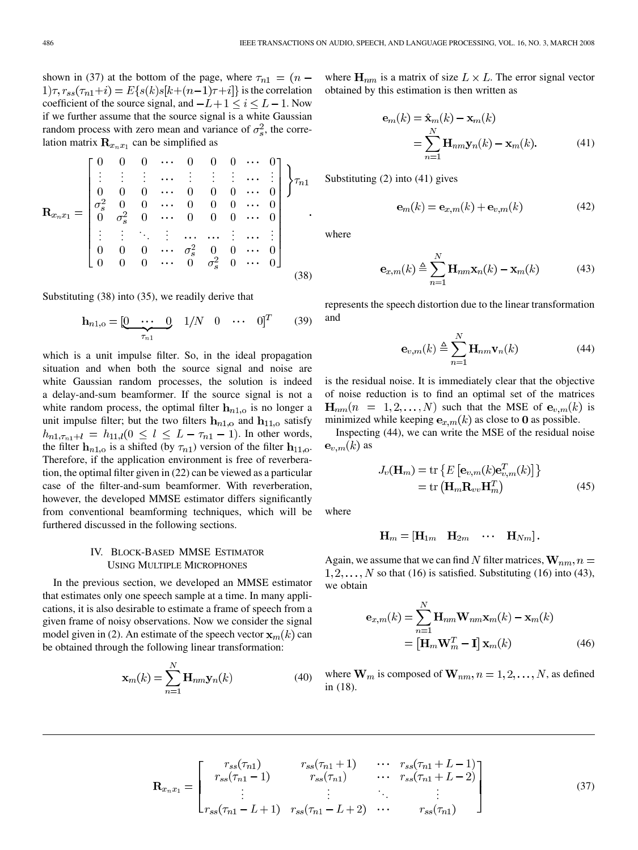shown in (37) at the bottom of the page, where  $\tau_{n1} = (n 1/\tau$ ,  $r_{ss}(\tau_{n1}+i) = E\{s(k)s[k+(n-1)\tau+i]\}\$ is the correlation coefficient of the source signal, and  $-L+1 \leq i \leq L-1$ . Now if we further assume that the source signal is a white Gaussian random process with zero mean and variance of  $\sigma_s^2$ , the correlation matrix  $\mathbf{R}_{x_n,x_1}$  can be simplified as

$$
\mathbf{R}_{x_n x_1} = \begin{bmatrix} 0 & 0 & 0 & \cdots & 0 & 0 & 0 & \cdots & 0 \\ \vdots & \vdots & \vdots & \cdots & \vdots & \vdots & \vdots & \cdots & \vdots \\ 0 & 0 & 0 & \cdots & 0 & 0 & 0 & \cdots & 0 \\ \sigma_s^2 & 0 & 0 & \cdots & 0 & 0 & 0 & \cdots & 0 \\ 0 & \sigma_s^2 & 0 & \cdots & 0 & 0 & 0 & \cdots & 0 \\ \vdots & \vdots & \ddots & \vdots & \cdots & \cdots & \vdots & \cdots & \vdots \\ 0 & 0 & 0 & \cdots & \sigma_s^2 & 0 & 0 & \cdots & 0 \\ 0 & 0 & 0 & \cdots & 0 & \sigma_s^2 & 0 & \cdots & 0 \end{bmatrix} \right\} \tau_{n1}
$$
\n(38)

Substituting (38) into (35), we readily derive that

$$
\mathbf{h}_{n1,0} = [\underbrace{0 \cdots 0}_{\tau_{n1}} \quad 1/N \quad 0 \quad \cdots \quad 0]^T \tag{39}
$$

which is a unit impulse filter. So, in the ideal propagation situation and when both the source signal and noise are white Gaussian random processes, the solution is indeed a delay-and-sum beamformer. If the source signal is not a white random process, the optimal filter  $h_{n1,o}$  is no longer a unit impulse filter; but the two filters  $\mathbf{h}_{n1,o}$  and  $\mathbf{h}_{11,o}$  satisfy  $h_{n1,\tau_{n1}+l} = h_{11,l} (0 \le l \le L - \tau_{n1} - 1)$ . In other words, the filter  $\mathbf{h}_{n1,o}$  is a shifted (by  $\tau_{n1}$ ) version of the filter  $\mathbf{h}_{11,o}$ . Therefore, if the application environment is free of reverberation, the optimal filter given in (22) can be viewed as a particular case of the filter-and-sum beamformer. With reverberation, however, the developed MMSE estimator differs significantly from conventional beamforming techniques, which will be furthered discussed in the following sections.

# IV. BLOCK-BASED MMSE ESTIMATOR USING MULTIPLE MICROPHONES

In the previous section, we developed an MMSE estimator that estimates only one speech sample at a time. In many applications, it is also desirable to estimate a frame of speech from a given frame of noisy observations. Now we consider the signal model given in (2). An estimate of the speech vector  $\mathbf{x}_{m}(k)$  can be obtained through the following linear transformation:

$$
\mathbf{x}_{m}(k) = \sum_{n=1}^{N} \mathbf{H}_{nm} \mathbf{y}_{n}(k)
$$
 (40)

where  $H_{nm}$  is a matrix of size  $L \times L$ . The error signal vector obtained by this estimation is then written as

$$
\mathbf{e}_m(k) = \hat{\mathbf{x}}_m(k) - \mathbf{x}_m(k)
$$
  
= 
$$
\sum_{n=1}^{N} \mathbf{H}_{nm} \mathbf{y}_n(k) - \mathbf{x}_m(k).
$$
 (41)

Substituting (2) into (41) gives

$$
\mathbf{e}_m(k) = \mathbf{e}_{x,m}(k) + \mathbf{e}_{v,m}(k) \tag{42}
$$

where

$$
\mathbf{e}_{x,m}(k) \triangleq \sum_{n=1}^{N} \mathbf{H}_{nm} \mathbf{x}_n(k) - \mathbf{x}_m(k)
$$
 (43)

represents the speech distortion due to the linear transformation and

$$
\mathbf{e}_{v,m}(k) \triangleq \sum_{n=1}^{N} \mathbf{H}_{nm} \mathbf{v}_n(k)
$$
 (44)

is the residual noise. It is immediately clear that the objective of noise reduction is to find an optimal set of the matrices  $\mathbf{H}_{nm}(n = 1, 2, \dots, N)$  such that the MSE of  $\mathbf{e}_{v,m}(k)$  is minimized while keeping  $e_{x,m}(k)$  as close to 0 as possible.

Inspecting (44), we can write the MSE of the residual noise  ${\bf e}_{v,m}(k)$  as

$$
J_{\nu}(\mathbf{H}_{m}) = \text{tr}\left\{ E\left[\mathbf{e}_{\nu,m}(k)\mathbf{e}_{\nu,m}^{T}(k)\right]\right\}
$$

$$
= \text{tr}\left(\mathbf{H}_{m}\mathbf{R}_{\nu\nu}\mathbf{H}_{m}^{T}\right) \tag{45}
$$

where

$$
\mathbf{H}_m = \begin{bmatrix} \mathbf{H}_{1m} & \mathbf{H}_{2m} & \cdots & \mathbf{H}_{Nm} \end{bmatrix}
$$

Again, we assume that we can find N filter matrices,  $\mathbf{W}_{nm}$ ,  $n =$  $1, 2, \ldots, N$  so that (16) is satisfied. Substituting (16) into (43), we obtain

$$
\mathbf{e}_{x,m}(k) = \sum_{n=1}^{N} \mathbf{H}_{nm} \mathbf{W}_{nm} \mathbf{x}_{m}(k) - \mathbf{x}_{m}(k)
$$

$$
= \left[ \mathbf{H}_{m} \mathbf{W}_{m}^{T} - \mathbf{I} \right] \mathbf{x}_{m}(k)
$$
(46)

where  $\mathbf{W}_m$  is composed of  $\mathbf{W}_{nm}$ ,  $n = 1, 2, ..., N$ , as defined in (18).

$$
\mathbf{R}_{x_n x_1} = \begin{bmatrix} r_{ss}(\tau_{n1}) & r_{ss}(\tau_{n1} + 1) & \cdots & r_{ss}(\tau_{n1} + L - 1) \\ r_{ss}(\tau_{n1} - 1) & r_{ss}(\tau_{n1}) & \cdots & r_{ss}(\tau_{n1} + L - 2) \\ \vdots & \vdots & \ddots & \vdots \\ r_{ss}(\tau_{n1} - L + 1) & r_{ss}(\tau_{n1} - L + 2) & \cdots & r_{ss}(\tau_{n1}) \end{bmatrix}
$$
(37)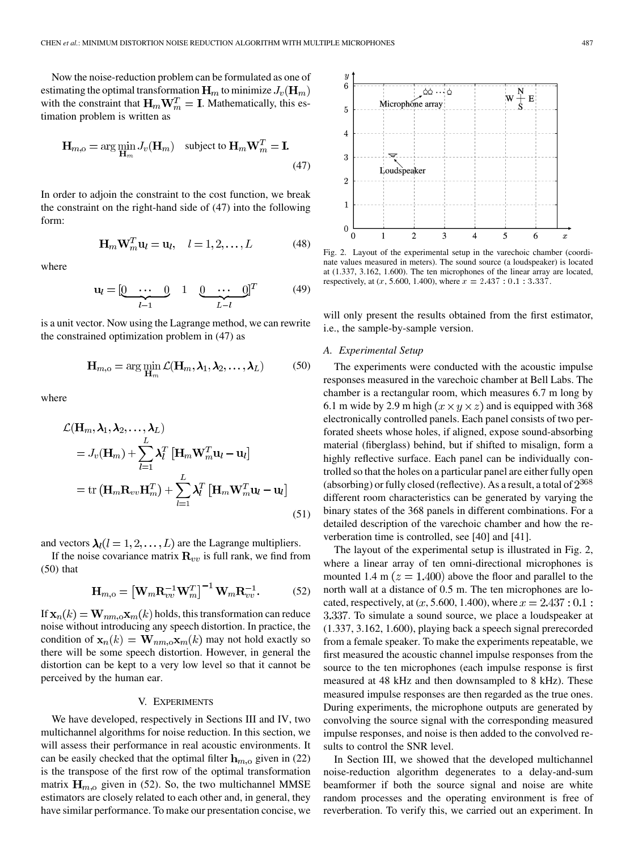Now the noise-reduction problem can be formulated as one of estimating the optimal transformation  $\mathbf{H}_m$  to minimize  $J_v(\mathbf{H}_m)$ with the constraint that  $\mathbf{H}_m \mathbf{W}_m^T = \mathbf{I}$ . Mathematically, this estimation problem is written as

$$
\mathbf{H}_{m, o} = \arg\min_{\mathbf{H}_m} J_v(\mathbf{H}_m) \quad \text{subject to } \mathbf{H}_m \mathbf{W}_m^T = \mathbf{I}.
$$
\n(47)

In order to adjoin the constraint to the cost function, we break the constraint on the right-hand side of (47) into the following form:

$$
\mathbf{H}_m \mathbf{W}_m^T \mathbf{u}_l = \mathbf{u}_l, \quad l = 1, 2, \dots, L \tag{48}
$$

where

$$
\mathbf{u}_l = [\underbrace{0 \quad \cdots \quad 0}_{l-1} \quad 1 \quad \underbrace{0 \quad \cdots \quad 0}_{L-l}]^T \tag{49}
$$

is a unit vector. Now using the Lagrange method, we can rewrite the constrained optimization problem in (47) as

$$
\mathbf{H}_{m,o} = \arg\min_{\mathbf{H}_m} \mathcal{L}(\mathbf{H}_m, \lambda_1, \lambda_2, \dots, \lambda_L)
$$
 (50)

where

$$
\mathcal{L}(\mathbf{H}_m, \lambda_1, \lambda_2, ..., \lambda_L)
$$
\n
$$
= J_v(\mathbf{H}_m) + \sum_{l=1}^L \lambda_l^T [\mathbf{H}_m \mathbf{W}_m^T \mathbf{u}_l - \mathbf{u}_l]
$$
\n
$$
= \text{tr} (\mathbf{H}_m \mathbf{R}_{vv} \mathbf{H}_m^T) + \sum_{l=1}^L \lambda_l^T [\mathbf{H}_m \mathbf{W}_m^T \mathbf{u}_l - \mathbf{u}_l]
$$
\n(51)

and vectors  $\lambda_l(l = 1, 2, ..., L)$  are the Lagrange multipliers.

If the noise covariance matrix  $\mathbf{R}_{vv}$  is full rank, we find from  $(50)$  that

$$
\mathbf{H}_{m, \mathrm{o}} = \left[ \mathbf{W}_{m} \mathbf{R}_{vv}^{-1} \mathbf{W}_{m}^{T} \right]^{-1} \mathbf{W}_{m} \mathbf{R}_{vv}^{-1}.
$$
 (52)

If  $\mathbf{x}_n(k) = \mathbf{W}_{nm,o} \mathbf{x}_m(k)$  holds, this transformation can reduce noise without introducing any speech distortion. In practice, the condition of  $\mathbf{x}_n(k) = \mathbf{W}_{nm,o} \mathbf{x}_m(k)$  may not hold exactly so there will be some speech distortion. However, in general the distortion can be kept to a very low level so that it cannot be perceived by the human ear.

#### V. EXPERIMENTS

We have developed, respectively in Sections III and IV, two multichannel algorithms for noise reduction. In this section, we will assess their performance in real acoustic environments. It can be easily checked that the optimal filter  $h_{m,o}$  given in (22) is the transpose of the first row of the optimal transformation matrix  $H_{m,o}$  given in (52). So, the two multichannel MMSE estimators are closely related to each other and, in general, they have similar performance. To make our presentation concise, we



Fig. 2. Layout of the experimental setup in the varechoic chamber (coordinate values measured in meters). The sound source (a loudspeaker) is located at (1.337, 3.162, 1.600). The ten microphones of the linear array are located, respectively, at  $(x, 5.600, 1.400)$ , where  $x = 2.437 : 0.1 : 3.337$ .

will only present the results obtained from the first estimator, i.e., the sample-by-sample version.

## *A. Experimental Setup*

The experiments were conducted with the acoustic impulse responses measured in the varechoic chamber at Bell Labs. The chamber is a rectangular room, which measures 6.7 m long by 6.1 m wide by 2.9 m high  $(x \times y \times z)$  and is equipped with 368 electronically controlled panels. Each panel consists of two perforated sheets whose holes, if aligned, expose sound-absorbing material (fiberglass) behind, but if shifted to misalign, form a highly reflective surface. Each panel can be individually controlled so that the holes on a particular panel are either fully open (absorbing) or fully closed (reflective). As a result, a total of  $2^{368}$ different room characteristics can be generated by varying the binary states of the 368 panels in different combinations. For a detailed description of the varechoic chamber and how the reverberation time is controlled, see [40] and [41].

The layout of the experimental setup is illustrated in Fig. 2, where a linear array of ten omni-directional microphones is mounted 1.4 m  $(z = 1.400)$  above the floor and parallel to the north wall at a distance of 0.5 m. The ten microphones are located, respectively, at  $(x, 5.600, 1.400)$ , where  $x = 2.437 : 0.1$ : . To simulate a sound source, we place a loudspeaker at (1.337, 3.162, 1.600), playing back a speech signal prerecorded from a female speaker. To make the experiments repeatable, we first measured the acoustic channel impulse responses from the source to the ten microphones (each impulse response is first measured at 48 kHz and then downsampled to 8 kHz). These measured impulse responses are then regarded as the true ones. During experiments, the microphone outputs are generated by convolving the source signal with the corresponding measured impulse responses, and noise is then added to the convolved results to control the SNR level.

In Section III, we showed that the developed multichannel noise-reduction algorithm degenerates to a delay-and-sum beamformer if both the source signal and noise are white random processes and the operating environment is free of reverberation. To verify this, we carried out an experiment. In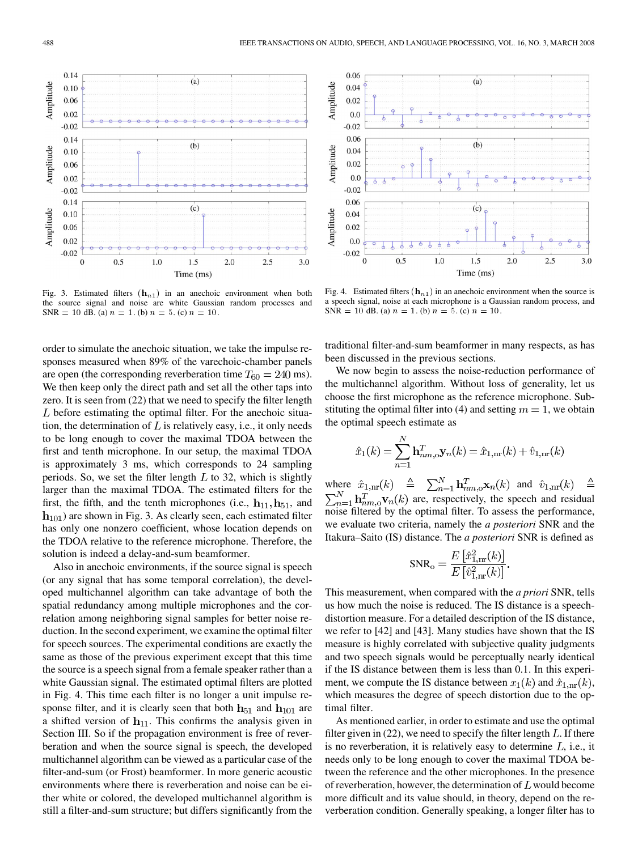

 $(a)$ 

Fig. 3. Estimated filters  $(h_{n1})$  in an anechoic environment when both the source signal and noise are white Gaussian random processes and SNR = 10 dB. (a)  $n = 1$ . (b)  $n = 5$ . (c)  $n = 10$ .

order to simulate the anechoic situation, we take the impulse responses measured when 89% of the varechoic-chamber panels are open (the corresponding reverberation time  $T_{60} = 240$  ms). We then keep only the direct path and set all the other taps into zero. It is seen from (22) that we need to specify the filter length  $L$  before estimating the optimal filter. For the anechoic situation, the determination of  $L$  is relatively easy, i.e., it only needs to be long enough to cover the maximal TDOA between the first and tenth microphone. In our setup, the maximal TDOA is approximately 3 ms, which corresponds to 24 sampling periods. So, we set the filter length  $L$  to 32, which is slightly larger than the maximal TDOA. The estimated filters for the first, the fifth, and the tenth microphones (i.e.,  $\mathbf{h}_{11}$ ,  $\mathbf{h}_{51}$ , and  $h_{101}$ ) are shown in Fig. 3. As clearly seen, each estimated filter has only one nonzero coefficient, whose location depends on the TDOA relative to the reference microphone. Therefore, the solution is indeed a delay-and-sum beamformer.

Also in anechoic environments, if the source signal is speech (or any signal that has some temporal correlation), the developed multichannel algorithm can take advantage of both the spatial redundancy among multiple microphones and the correlation among neighboring signal samples for better noise reduction. In the second experiment, we examine the optimal filter for speech sources. The experimental conditions are exactly the same as those of the previous experiment except that this time the source is a speech signal from a female speaker rather than a white Gaussian signal. The estimated optimal filters are plotted in Fig. 4. This time each filter is no longer a unit impulse response filter, and it is clearly seen that both  $h_{51}$  and  $h_{101}$  are a shifted version of  $h_{11}$ . This confirms the analysis given in Section III. So if the propagation environment is free of reverberation and when the source signal is speech, the developed multichannel algorithm can be viewed as a particular case of the filter-and-sum (or Frost) beamformer. In more generic acoustic environments where there is reverberation and noise can be either white or colored, the developed multichannel algorithm is still a filter-and-sum structure; but differs significantly from the



Fig. 4. Estimated filters  $(h_{n,1})$  in an anechoic environment when the source is a speech signal, noise at each microphone is a Gaussian random process, and SNR = 10 dB. (a)  $n = 1$ . (b)  $n = 5$ . (c)  $n = 10$ .

traditional filter-and-sum beamformer in many respects, as has been discussed in the previous sections.

We now begin to assess the noise-reduction performance of the multichannel algorithm. Without loss of generality, let us choose the first microphone as the reference microphone. Substituting the optimal filter into (4) and setting  $m = 1$ , we obtain the optimal speech estimate as

$$
\hat{x}_1(k) = \sum_{n=1}^{N} \mathbf{h}_{nm,0}^T \mathbf{y}_n(k) = \hat{x}_{1,\text{nr}}(k) + \hat{v}_{1,\text{nr}}(k)
$$

where  $\hat{x}_{1,\text{nr}}(k) \triangleq \sum_{n=1}^{N} \mathbf{h}_{nm,\text{o}}^T \mathbf{x}_n(k)$  and  $\hat{v}_{1,\text{nr}}(k)$  $\triangleq$  $\sum_{n=1}^{N}$  h<sub>nm</sub>,  $\mathbf{v}_n(k)$  are, respectively, the speech and residual noise filtered by the optimal filter. To assess the performance, we evaluate two criteria, namely the *a posteriori* SNR and the Itakura–Saito (IS) distance. The *a posteriori* SNR is defined as

$$
SNR_o = \frac{E\left[\hat{x}_{1,\text{nr}}^2(k)\right]}{E\left[\hat{v}_{1,\text{nr}}^2(k)\right]}.
$$

This measurement, when compared with the *a priori* SNR, tells us how much the noise is reduced. The IS distance is a speechdistortion measure. For a detailed description of the IS distance, we refer to [42] and [43]. Many studies have shown that the IS measure is highly correlated with subjective quality judgments and two speech signals would be perceptually nearly identical if the IS distance between them is less than 0.1. In this experiment, we compute the IS distance between  $x_1(k)$  and  $\hat{x}_{1,\text{nr}}(k)$ , which measures the degree of speech distortion due to the optimal filter.

As mentioned earlier, in order to estimate and use the optimal filter given in (22), we need to specify the filter length  $L$ . If there is no reverberation, it is relatively easy to determine  $L$ , i.e., it needs only to be long enough to cover the maximal TDOA between the reference and the other microphones. In the presence of reverberation, however, the determination of  $L$  would become more difficult and its value should, in theory, depend on the reverberation condition. Generally speaking, a longer filter has to

 $0.14$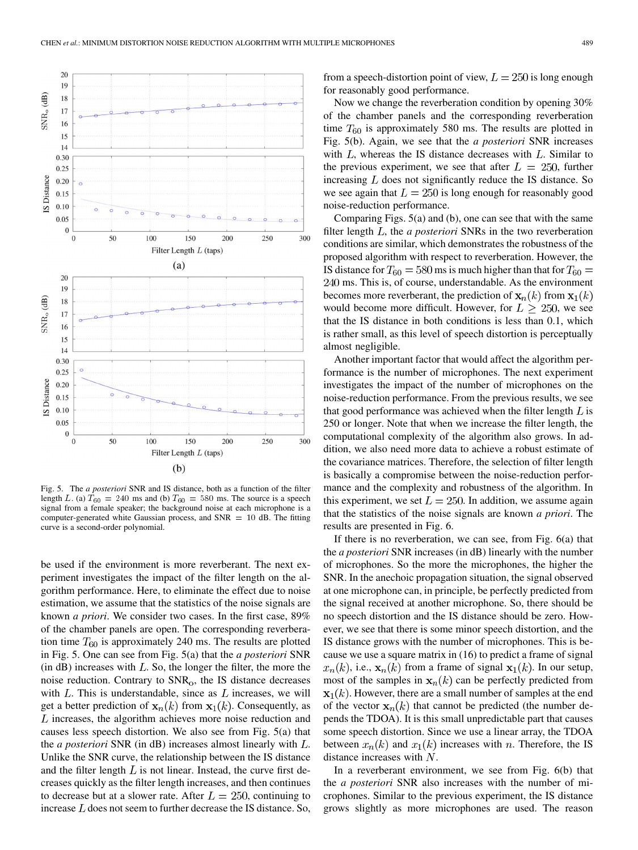

Fig. 5. The *a posteriori* SNR and IS distance, both as a function of the filter length L. (a)  $T_{60} = 240$  ms and (b)  $T_{60} = 580$  ms. The source is a speech signal from a female speaker; the background noise at each microphone is a computer-generated white Gaussian process, and  $SNR = 10$  dB. The fitting curve is a second-order polynomial.

be used if the environment is more reverberant. The next experiment investigates the impact of the filter length on the algorithm performance. Here, to eliminate the effect due to noise estimation, we assume that the statistics of the noise signals are known *a priori*. We consider two cases. In the first case, 89% of the chamber panels are open. The corresponding reverberation time  $T_{60}$  is approximately 240 ms. The results are plotted in Fig. 5. One can see from Fig. 5(a) that the *a posteriori* SNR  $(in dB)$  increases with  $L$ . So, the longer the filter, the more the noise reduction. Contrary to SNR<sub>o</sub>, the IS distance decreases with  $L$ . This is understandable, since as  $L$  increases, we will get a better prediction of  $x_n(k)$  from  $x_1(k)$ . Consequently, as  $L$  increases, the algorithm achieves more noise reduction and causes less speech distortion. We also see from Fig. 5(a) that the *a posteriori* SNR (in dB) increases almost linearly with  $L$ . Unlike the SNR curve, the relationship between the IS distance and the filter length  $L$  is not linear. Instead, the curve first decreases quickly as the filter length increases, and then continues to decrease but at a slower rate. After  $L = 250$ , continuing to increase  $L$  does not seem to further decrease the IS distance. So,

from a speech-distortion point of view,  $L = 250$  is long enough for reasonably good performance.

Now we change the reverberation condition by opening 30% of the chamber panels and the corresponding reverberation time  $T_{60}$  is approximately 580 ms. The results are plotted in Fig. 5(b). Again, we see that the *a posteriori* SNR increases with  $L$ , whereas the IS distance decreases with  $L$ . Similar to the previous experiment, we see that after  $L = 250$ , further increasing  $L$  does not significantly reduce the IS distance. So we see again that  $L = 250$  is long enough for reasonably good noise-reduction performance.

Comparing Figs. 5(a) and (b), one can see that with the same filter length  $L$ , the *a posteriori* SNRs in the two reverberation conditions are similar, which demonstrates the robustness of the proposed algorithm with respect to reverberation. However, the IS distance for  $T_{60} = 580$  ms is much higher than that for  $T_{60} =$ 240 ms. This is, of course, understandable. As the environment becomes more reverberant, the prediction of  $\mathbf{x}_n(k)$  from  $\mathbf{x}_1(k)$ would become more difficult. However, for  $L \geq 250$ , we see that the IS distance in both conditions is less than 0.1, which is rather small, as this level of speech distortion is perceptually almost negligible.

Another important factor that would affect the algorithm performance is the number of microphones. The next experiment investigates the impact of the number of microphones on the noise-reduction performance. From the previous results, we see that good performance was achieved when the filter length  $L$  is 250 or longer. Note that when we increase the filter length, the computational complexity of the algorithm also grows. In addition, we also need more data to achieve a robust estimate of the covariance matrices. Therefore, the selection of filter length is basically a compromise between the noise-reduction performance and the complexity and robustness of the algorithm. In this experiment, we set  $L = 250$ . In addition, we assume again that the statistics of the noise signals are known *a priori*. The results are presented in Fig. 6.

If there is no reverberation, we can see, from Fig. 6(a) that the *a posteriori* SNR increases (in dB) linearly with the number of microphones. So the more the microphones, the higher the SNR. In the anechoic propagation situation, the signal observed at one microphone can, in principle, be perfectly predicted from the signal received at another microphone. So, there should be no speech distortion and the IS distance should be zero. However, we see that there is some minor speech distortion, and the IS distance grows with the number of microphones. This is because we use a square matrix in (16) to predict a frame of signal  $x_n(k)$ , i.e.,  $\mathbf{x}_n(k)$  from a frame of signal  $\mathbf{x}_1(k)$ . In our setup, most of the samples in  $x_n(k)$  can be perfectly predicted from  $\mathbf{x}_1(k)$ . However, there are a small number of samples at the end of the vector  $\mathbf{x}_n(k)$  that cannot be predicted (the number depends the TDOA). It is this small unpredictable part that causes some speech distortion. Since we use a linear array, the TDOA between  $x_n(k)$  and  $x_1(k)$  increases with n. Therefore, the IS distance increases with  $N$ .

In a reverberant environment, we see from Fig. 6(b) that the *a posteriori* SNR also increases with the number of microphones. Similar to the previous experiment, the IS distance grows slightly as more microphones are used. The reason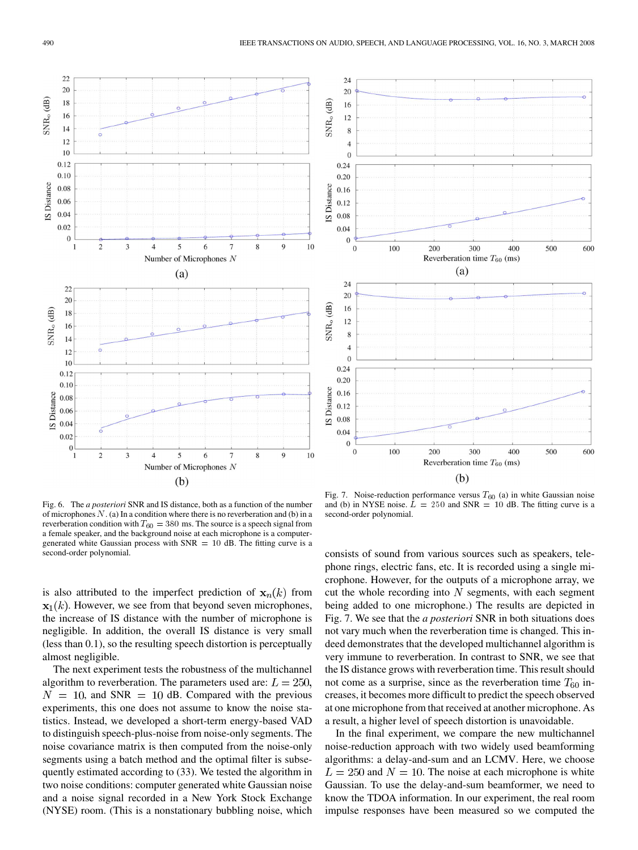



Fig. 6. The *a posteriori* SNR and IS distance, both as a function of the number of microphones  $N$ . (a) In a condition where there is no reverberation and (b) in a reverberation condition with  $T_{60} = 380$  ms. The source is a speech signal from a female speaker, and the background noise at each microphone is a computergenerated white Gaussian process with  $SNR = 10$  dB. The fitting curve is a second-order polynomial.

Fig. 7. Noise-reduction performance versus  $T_{60}$  (a) in white Gaussian noise and (b) in NYSE noise.  $L = 250$  and SNR = 10 dB. The fitting curve is a second-order polynomial.

is also attributed to the imperfect prediction of  $x_n(k)$  from  $\mathbf{x}_1(k)$ . However, we see from that beyond seven microphones, the increase of IS distance with the number of microphone is negligible. In addition, the overall IS distance is very small (less than 0.1), so the resulting speech distortion is perceptually almost negligible.

The next experiment tests the robustness of the multichannel algorithm to reverberation. The parameters used are:  $L = 250$ ,  $N = 10$ , and SNR = 10 dB. Compared with the previous experiments, this one does not assume to know the noise statistics. Instead, we developed a short-term energy-based VAD to distinguish speech-plus-noise from noise-only segments. The noise covariance matrix is then computed from the noise-only segments using a batch method and the optimal filter is subsequently estimated according to (33). We tested the algorithm in two noise conditions: computer generated white Gaussian noise and a noise signal recorded in a New York Stock Exchange (NYSE) room. (This is a nonstationary bubbling noise, which consists of sound from various sources such as speakers, telephone rings, electric fans, etc. It is recorded using a single microphone. However, for the outputs of a microphone array, we cut the whole recording into  $N$  segments, with each segment being added to one microphone.) The results are depicted in Fig. 7. We see that the *a posteriori* SNR in both situations does not vary much when the reverberation time is changed. This indeed demonstrates that the developed multichannel algorithm is very immune to reverberation. In contrast to SNR, we see that the IS distance grows with reverberation time. This result should not come as a surprise, since as the reverberation time  $T_{60}$  increases, it becomes more difficult to predict the speech observed at one microphone from that received at another microphone. As a result, a higher level of speech distortion is unavoidable.

In the final experiment, we compare the new multichannel noise-reduction approach with two widely used beamforming algorithms: a delay-and-sum and an LCMV. Here, we choose  $L = 250$  and  $N = 10$ . The noise at each microphone is white Gaussian. To use the delay-and-sum beamformer, we need to know the TDOA information. In our experiment, the real room impulse responses have been measured so we computed the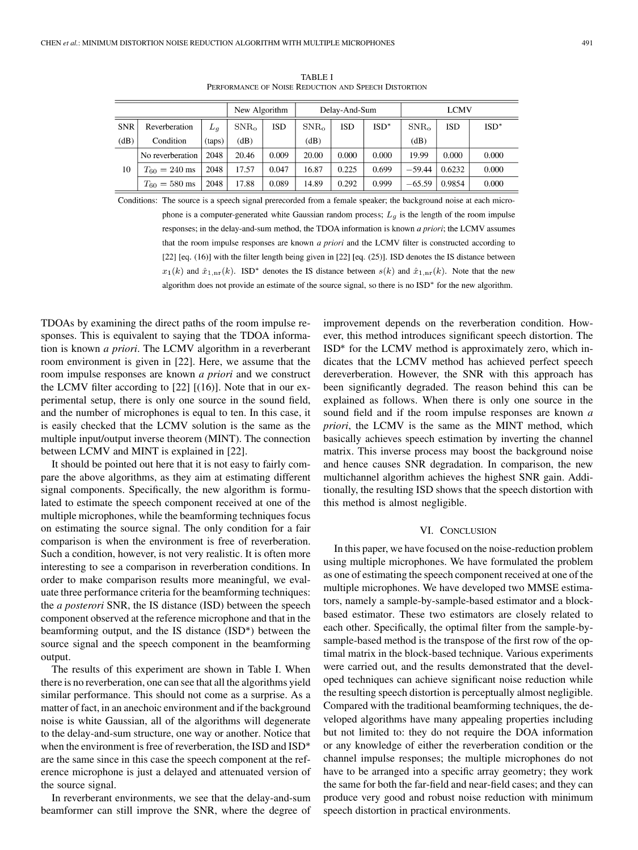|            |                           |        | New Algorithm |            | Delay-And-Sum |            |         | <b>LCMV</b> |            |                |
|------------|---------------------------|--------|---------------|------------|---------------|------------|---------|-------------|------------|----------------|
| <b>SNR</b> | Reverberation             | $L_q$  | $SNR_0$       | <b>ISD</b> | $SNR_0$       | <b>ISD</b> | $ISD^*$ | $SNR_0$     | <b>ISD</b> | $\text{ISD}^*$ |
| (dB)       | Condition                 | (taps) | (dB)          |            | (dB)          |            |         | (dB)        |            |                |
| 10         | No reverberation          | 2048   | 20.46         | 0.009      | 20.00         | 0.000      | 0.000   | 19.99       | 0.000      | 0.000          |
|            | $T_{60} = 240 \text{ ms}$ | 2048   | 17.57         | 0.047      | 16.87         | 0.225      | 0.699   | $-59.44$    | 0.6232     | 0.000          |
|            | $T_{60} = 580 \text{ ms}$ | 2048   | 17.88         | 0.089      | 14.89         | 0.292      | 0.999   | $-65.59$    | 0.9854     | 0.000          |

TABLE I PERFORMANCE OF NOISE REDUCTION AND SPEECH DISTORTION

Conditions: The source is a speech signal prerecorded from a female speaker; the background noise at each microphone is a computer-generated white Gaussian random process;  $L_g$  is the length of the room impulse responses; in the delay-and-sum method, the TDOA information is known a priori; the LCMV assumes that the room impulse responses are known a priori and the LCMV filter is constructed according to [22] [eq.  $(16)$ ] with the filter length being given in [22] [eq.  $(25)$ ]. ISD denotes the IS distance between  $x_1(k)$  and  $\hat{x}_{1,\text{nr}}(k)$ . ISD\* denotes the IS distance between  $s(k)$  and  $\hat{x}_{1,\text{nr}}(k)$ . Note that the new algorithm does not provide an estimate of the source signal, so there is no ISD\* for the new algorithm.

TDOAs by examining the direct paths of the room impulse responses. This is equivalent to saying that the TDOA information is known *a priori*. The LCMV algorithm in a reverberant room environment is given in [22]. Here, we assume that the room impulse responses are known *a priori* and we construct the LCMV filter according to  $[22]$   $[(16)]$ . Note that in our experimental setup, there is only one source in the sound field, and the number of microphones is equal to ten. In this case, it is easily checked that the LCMV solution is the same as the multiple input/output inverse theorem (MINT). The connection between LCMV and MINT is explained in [22].

It should be pointed out here that it is not easy to fairly compare the above algorithms, as they aim at estimating different signal components. Specifically, the new algorithm is formulated to estimate the speech component received at one of the multiple microphones, while the beamforming techniques focus on estimating the source signal. The only condition for a fair comparison is when the environment is free of reverberation. Such a condition, however, is not very realistic. It is often more interesting to see a comparison in reverberation conditions. In order to make comparison results more meaningful, we evaluate three performance criteria for the beamforming techniques: the *a posterori* SNR, the IS distance (ISD) between the speech component observed at the reference microphone and that in the beamforming output, and the IS distance  $(ISD^*)$  between the source signal and the speech component in the beamforming output.

The results of this experiment are shown in Table I. When there is no reverberation, one can see that all the algorithms yield similar performance. This should not come as a surprise. As a matter of fact, in an anechoic environment and if the background noise is white Gaussian, all of the algorithms will degenerate to the delay-and-sum structure, one way or another. Notice that when the environment is free of reverberation, the ISD and ISD are the same since in this case the speech component at the reference microphone is just a delayed and attenuated version of the source signal.

In reverberant environments, we see that the delay-and-sum beamformer can still improve the SNR, where the degree of improvement depends on the reverberation condition. However, this method introduces significant speech distortion. The  $ISD*$  for the LCMV method is approximately zero, which indicates that the LCMV method has achieved perfect speech dereverberation. However, the SNR with this approach has been significantly degraded. The reason behind this can be explained as follows. When there is only one source in the sound field and if the room impulse responses are known *a priori*, the LCMV is the same as the MINT method, which basically achieves speech estimation by inverting the channel matrix. This inverse process may boost the background noise and hence causes SNR degradation. In comparison, the new multichannel algorithm achieves the highest SNR gain. Additionally, the resulting ISD shows that the speech distortion with this method is almost negligible.

## VI. CONCLUSION

In this paper, we have focused on the noise-reduction problem using multiple microphones. We have formulated the problem as one of estimating the speech component received at one of the multiple microphones. We have developed two MMSE estimators, namely a sample-by-sample-based estimator and a blockbased estimator. These two estimators are closely related to each other. Specifically, the optimal filter from the sample-bysample-based method is the transpose of the first row of the optimal matrix in the block-based technique. Various experiments were carried out, and the results demonstrated that the developed techniques can achieve significant noise reduction while the resulting speech distortion is perceptually almost negligible. Compared with the traditional beamforming techniques, the developed algorithms have many appealing properties including but not limited to: they do not require the DOA information or any knowledge of either the reverberation condition or the channel impulse responses; the multiple microphones do not have to be arranged into a specific array geometry; they work the same for both the far-field and near-field cases; and they can produce very good and robust noise reduction with minimum speech distortion in practical environments.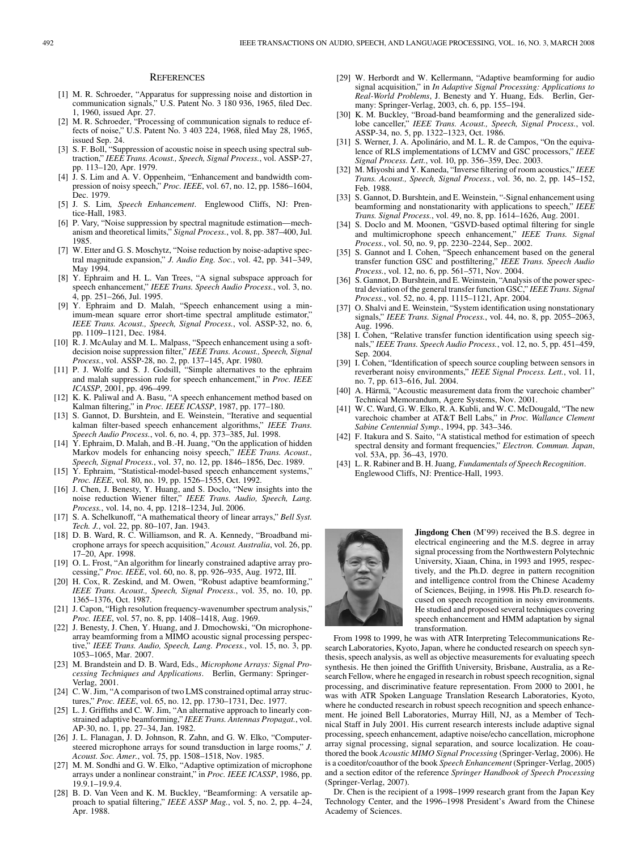## **REFERENCES**

- [1] M. R. Schroeder, "Apparatus for suppressing noise and distortion in communication signals," U.S. Patent No. 3 180 936, 1965, filed Dec. 1, 1960, issued Apr. 27.
- [2] M. R. Schroeder, "Processing of communication signals to reduce effects of noise," U.S. Patent No. 3 403 224, 1968, filed May 28, 1965, issued Sep. 24.
- [3] S. F. Boll, "Suppression of acoustic noise in speech using spectral subtraction," *IEEE Trans. Acoust., Speech, Signal Process.*, vol. ASSP-27, pp. 113–120, Apr. 1979.
- [4] J. S. Lim and A. V. Oppenheim, "Enhancement and bandwidth compression of noisy speech," *Proc. IEEE*, vol. 67, no. 12, pp. 1586–1604, Dec. 1979.
- [5] J. S. Lim*, Speech Enhancement*. Englewood Cliffs, NJ: Prentice-Hall, 1983.
- [6] P. Vary, "Noise suppression by spectral magnitude estimation—mechanism and theoretical limits," *Signal Process.*, vol. 8, pp. 387–400, Jul. 1985.
- [7] W. Etter and G. S. Moschytz, "Noise reduction by noise-adaptive spectral magnitude expansion," *J. Audio Eng. Soc.*, vol. 42, pp. 341–349, May 1994.
- [8] Y. Ephraim and H. L. Van Trees, "A signal subspace approach for speech enhancement," *IEEE Trans. Speech Audio Process.*, vol. 3, no. 4, pp. 251–266, Jul. 1995.
- [9] Y. Ephraim and D. Malah, "Speech enhancement using a minimum-mean square error short-time spectral amplitude estimator," *IEEE Trans. Acoust., Speech, Signal Process.*, vol. ASSP-32, no. 6, pp. 1109–1121, Dec. 1984.
- [10] R. J. McAulay and M. L. Malpass, "Speech enhancement using a softdecision noise suppression filter," *IEEE Trans. Acoust., Speech, Signal Process.*, vol. ASSP-28, no. 2, pp. 137–145, Apr. 1980.
- [11] P. J. Wolfe and S. J. Godsill, "Simple alternatives to the ephraim and malah suppression rule for speech enhancement," in *Proc. IEEE ICASSP*, 2001, pp. 496–499.
- [12] K. K. Paliwal and A. Basu, "A speech enhancement method based on Kalman filtering," in *Proc. IEEE ICASSP*, 1987, pp. 177–180.
- [13] S. Gannot, D. Burshtein, and E. Weinstein, "Iterative and sequential kalman filter-based speech enhancement algorithms," *IEEE Trans. Speech Audio Process.*, vol. 6, no. 4, pp. 373–385, Jul. 1998.
- [14] Y. Ephraim, D. Malah, and B.-H. Juang, "On the application of hidden Markov models for enhancing noisy speech," *IEEE Trans. Acoust., Speech, Signal Process.*, vol. 37, no. 12, pp. 1846–1856, Dec. 1989.
- [15] Y. Ephraim, "Statistical-model-based speech enhancement systems," *Proc. IEEE*, vol. 80, no. 19, pp. 1526–1555, Oct. 1992.
- [16] J. Chen, J. Benesty, Y. Huang, and S. Doclo, "New insights into the noise reduction Wiener filter," *IEEE Trans. Audio, Speech, Lang. Process.*, vol. 14, no. 4, pp. 1218–1234, Jul. 2006.
- [17] S. A. Schelkunoff, "A mathematical theory of linear arrays," *Bell Syst. Tech. J.*, vol. 22, pp. 80–107, Jan. 1943.
- [18] D. B. Ward, R. C. Williamson, and R. A. Kennedy, "Broadband microphone arrays for speech acquisition," *Acoust. Australia*, vol. 26, pp. 17–20, Apr. 1998.
- [19] O. L. Frost, "An algorithm for linearly constrained adaptive array processing," *Proc. IEEE*, vol. 60, no. 8, pp. 926–935, Aug. 1972, III.
- [20] H. Cox, R. Zeskind, and M. Owen, "Robust adaptive beamforming," *IEEE Trans. Acoust., Speech, Signal Process.*, vol. 35, no. 10, pp. 1365–1376, Oct. 1987.
- [21] J. Capon, "High resolution frequency-wavenumber spectrum analysis," *Proc. IEEE*, vol. 57, no. 8, pp. 1408–1418, Aug. 1969.
- [22] J. Benesty, J. Chen, Y. Huang, and J. Dmochowski, "On microphonearray beamforming from a MIMO acoustic signal processing perspective," *IEEE Trans. Audio, Speech, Lang. Process.*, vol. 15, no. 3, pp. 1053–1065, Mar. 2007.
- [23] M. Brandstein and D. B. Ward, Eds.*, Microphone Arrays: Signal Processing Techniques and Applications*. Berlin, Germany: Springer-Verlag, 2001.
- [24] C. W. Jim, "A comparison of two LMS constrained optimal array structures," *Proc. IEEE*, vol. 65, no. 12, pp. 1730–1731, Dec. 1977.
- [25] L. J. Griffiths and C. W. Jim, "An alternative approach to linearly constrained adaptive beamforming," *IEEE Trans. Antennas Propagat.*, vol. AP-30, no. 1, pp. 27–34, Jan. 1982.
- [26] J. L. Flanagan, J. D. Johnson, R. Zahn, and G. W. Elko, "Computersteered microphone arrays for sound transduction in large rooms," *J. Acoust. Soc. Amer.*, vol. 75, pp. 1508–1518, Nov. 1985.
- [27] M. M. Sondhi and G. W. Elko, "Adaptive optimization of microphone arrays under a nonlinear constraint," in *Proc. IEEE ICASSP*, 1986, pp. 19.9.1–19.9.4.
- [28] B. D. Van Veen and K. M. Buckley, "Beamforming: A versatile approach to spatial filtering," *IEEE ASSP Mag.*, vol. 5, no. 2, pp. 4–24, Apr. 1988.
- [29] W. Herbordt and W. Kellermann, "Adaptive beamforming for audio signal acquisition," in *In Adaptive Signal Processing: Applications to Real-World Problems*, J. Benesty and Y. Huang, Eds. Berlin, Germany: Springer-Verlag, 2003, ch. 6, pp. 155–194.
- [30] K. M. Buckley, "Broad-band beamforming and the generalized sidelobe canceller," *IEEE Trans. Acoust., Speech, Signal Process.*, vol. ASSP-34, no. 5, pp. 1322–1323, Oct. 1986.
- [31] S. Werner, J. A. Apolinário, and M. L. R. de Campos, "On the equivalence of RLS implementations of LCMV and GSC processors," *IEEE Signal Process. Lett.*, vol. 10, pp. 356–359, Dec. 2003.
- [32] M. Miyoshi and Y. Kaneda, "Inverse filtering of room acoustics," *IEEE Trans. Acoust., Speech, Signal Process.*, vol. 36, no. 2, pp. 145–152, Feb. 1988.
- [33] S. Gannot, D. Burshtein, and E. Weinstein, "-Signal enhancement using beamforming and nonstationarity with applications to speech," *IEEE Trans. Signal Process.*, vol. 49, no. 8, pp. 1614–1626, Aug. 2001.
- [34] S. Doclo and M. Moonen, "GSVD-based optimal filtering for single and multimicrophone speech enhancement," *IEEE Trans. Signal Process.*, vol. 50, no. 9, pp. 2230–2244, Sep.. 2002.
- [35] S. Gannot and I. Cohen, "Speech enhancement based on the general transfer function GSC and postfiltering," *IEEE Trans. Speech Audio Process.*, vol. 12, no. 6, pp. 561–571, Nov. 2004.
- [36] S. Gannot, D. Burshtein, and E. Weinstein, "Analysis of the power spectral deviation of the general transfer function GSC," *IEEE Trans. Signal Process.*, vol. 52, no. 4, pp. 1115–1121, Apr. 2004.
- [37] O. Shalvi and E. Weinstein, "System identification using nonstationary signals," *IEEE Trans. Signal Process.*, vol. 44, no. 8, pp. 2055–2063, Aug. 1996.
- [38] I. Cohen, "Relative transfer function identification using speech signals," *IEEE Trans. Speech Audio Process.*, vol. 12, no. 5, pp. 451–459, Sep. 2004.
- [39] I. Cohen, "Identification of speech source coupling between sensors in reverberant noisy environments," *IEEE Signal Process. Lett.*, vol. 11, no. 7, pp. 613–616, Jul. 2004.
- [40] A. Härmä, "Acoustic measurement data from the varechoic chamber" Technical Memorandum, Agere Systems, Nov. 2001.
- [41] W. C. Ward, G. W. Elko, R. A. Kubli, and W. C. McDougald, "The new varechoic chamber at AT&T Bell Labs," in *Proc. Wallance Clement Sabine Centennial Symp.*, 1994, pp. 343–346.
- [42] F. Itakura and S. Saito, "A statistical method for estimation of speech spectral density and formant frequencies," *Electron. Commun. Japan*, vol. 53A, pp. 36–43, 1970.
- [43] L. R. Rabiner and B. H. Juang*, Fundamentals of Speech Recognition*. Englewood Cliffs, NJ: Prentice-Hall, 1993.



**Jingdong Chen** (M'99) received the B.S. degree in electrical engineering and the M.S. degree in array signal processing from the Northwestern Polytechnic University, Xiaan, China, in 1993 and 1995, respectively, and the Ph.D. degree in pattern recognition and intelligence control from the Chinese Academy of Sciences, Beijing, in 1998. His Ph.D. research focused on speech recognition in noisy environments. He studied and proposed several techniques covering speech enhancement and HMM adaptation by signal transformation.

From 1998 to 1999, he was with ATR Interpreting Telecommunications Research Laboratories, Kyoto, Japan, where he conducted research on speech synthesis, speech analysis, as well as objective measurements for evaluating speech synthesis. He then joined the Griffith University, Brisbane, Australia, as a Research Fellow, where he engaged in research in robust speech recognition, signal processing, and discriminative feature representation. From 2000 to 2001, he was with ATR Spoken Language Translation Research Laboratories, Kyoto, where he conducted research in robust speech recognition and speech enhancement. He joined Bell Laboratories, Murray Hill, NJ, as a Member of Technical Staff in July 2001. His current research interests include adaptive signal processing, speech enhancement, adaptive noise/echo cancellation, microphone array signal processing, signal separation, and source localization. He coauthored the book *Acoustic MIMO Signal Processing* (Springer-Verlag, 2006). He is a coeditor/coauthor of the book *Speech Enhancement* (Springer-Verlag, 2005) and a section editor of the reference *Springer Handbook of Speech Processing* (Springer-Verlag, 2007).

Dr. Chen is the recipient of a 1998–1999 research grant from the Japan Key Technology Center, and the 1996–1998 President's Award from the Chinese Academy of Sciences.